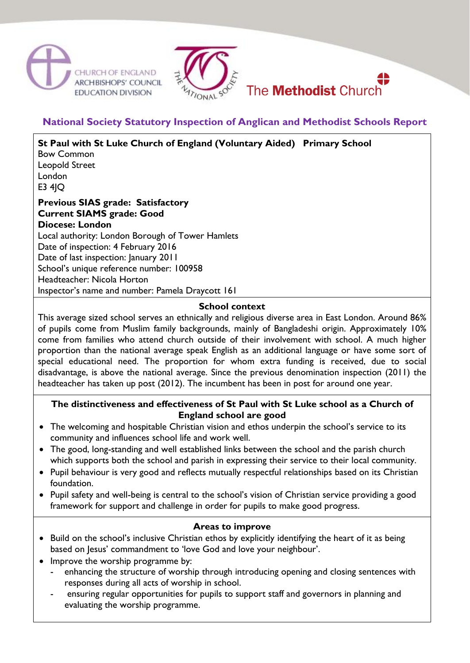





# **National Society Statutory Inspection of Anglican and Methodist Schools Report**

**St Paul with St Luke Church of England (Voluntary Aided) Primary School** Bow Common Leopold Street London E3 4JQ **Previous SIAS grade: Satisfactory Current SIAMS grade: Good Diocese: London** Local authority: London Borough of Tower Hamlets Date of inspection: 4 February 2016 Date of last inspection: January 2011 School's unique reference number: 100958

Headteacher: Nicola Horton

Inspector's name and number: Pamela Draycott 161

# **School context**

This average sized school serves an ethnically and religious diverse area in East London. Around 86% of pupils come from Muslim family backgrounds, mainly of Bangladeshi origin. Approximately 10% come from families who attend church outside of their involvement with school. A much higher proportion than the national average speak English as an additional language or have some sort of special educational need. The proportion for whom extra funding is received, due to social disadvantage, is above the national average. Since the previous denomination inspection (2011) the headteacher has taken up post (2012). The incumbent has been in post for around one year.

### **The distinctiveness and effectiveness of St Paul with St Luke school as a Church of England school are good**

- The welcoming and hospitable Christian vision and ethos underpin the school's service to its community and influences school life and work well.
- The good, long-standing and well established links between the school and the parish church which supports both the school and parish in expressing their service to their local community.
- Pupil behaviour is very good and reflects mutually respectful relationships based on its Christian foundation.
- Pupil safety and well-being is central to the school's vision of Christian service providing a good framework for support and challenge in order for pupils to make good progress.

# **Areas to improve**

- Build on the school's inclusive Christian ethos by explicitly identifying the heart of it as being based on Jesus' commandment to 'love God and love your neighbour'.
- Improve the worship programme by:
	- enhancing the structure of worship through introducing opening and closing sentences with responses during all acts of worship in school.
	- ensuring regular opportunities for pupils to support staff and governors in planning and evaluating the worship programme.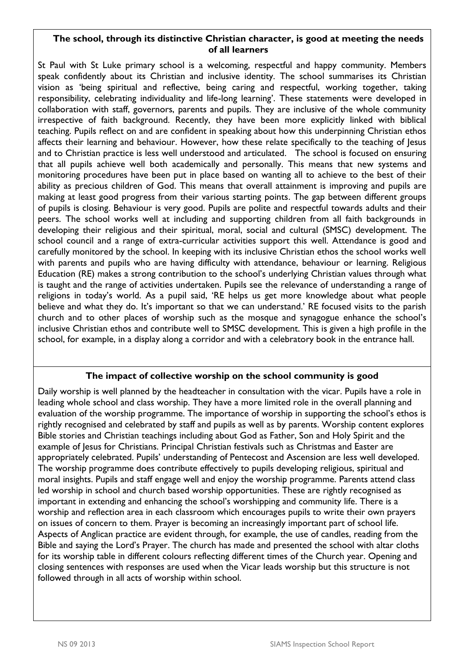#### **The school, through its distinctive Christian character, is good at meeting the needs of all learners**

St Paul with St Luke primary school is a welcoming, respectful and happy community. Members speak confidently about its Christian and inclusive identity. The school summarises its Christian vision as 'being spiritual and reflective, being caring and respectful, working together, taking responsibility, celebrating individuality and life-long learning'. These statements were developed in collaboration with staff, governors, parents and pupils. They are inclusive of the whole community irrespective of faith background. Recently, they have been more explicitly linked with biblical teaching. Pupils reflect on and are confident in speaking about how this underpinning Christian ethos affects their learning and behaviour. However, how these relate specifically to the teaching of Jesus and to Christian practice is less well understood and articulated. The school is focused on ensuring that all pupils achieve well both academically and personally. This means that new systems and monitoring procedures have been put in place based on wanting all to achieve to the best of their ability as precious children of God. This means that overall attainment is improving and pupils are making at least good progress from their various starting points. The gap between different groups of pupils is closing. Behaviour is very good. Pupils are polite and respectful towards adults and their peers. The school works well at including and supporting children from all faith backgrounds in developing their religious and their spiritual, moral, social and cultural (SMSC) development. The school council and a range of extra-curricular activities support this well. Attendance is good and carefully monitored by the school. In keeping with its inclusive Christian ethos the school works well with parents and pupils who are having difficulty with attendance, behaviour or learning. Religious Education (RE) makes a strong contribution to the school's underlying Christian values through what is taught and the range of activities undertaken. Pupils see the relevance of understanding a range of religions in today's world. As a pupil said, 'RE helps us get more knowledge about what people believe and what they do. It's important so that we can understand.' RE focused visits to the parish church and to other places of worship such as the mosque and synagogue enhance the school's inclusive Christian ethos and contribute well to SMSC development. This is given a high profile in the school, for example, in a display along a corridor and with a celebratory book in the entrance hall.

### **The impact of collective worship on the school community is good**

Daily worship is well planned by the headteacher in consultation with the vicar. Pupils have a role in leading whole school and class worship. They have a more limited role in the overall planning and evaluation of the worship programme. The importance of worship in supporting the school's ethos is rightly recognised and celebrated by staff and pupils as well as by parents. Worship content explores Bible stories and Christian teachings including about God as Father, Son and Holy Spirit and the example of Jesus for Christians. Principal Christian festivals such as Christmas and Easter are appropriately celebrated. Pupils' understanding of Pentecost and Ascension are less well developed. The worship programme does contribute effectively to pupils developing religious, spiritual and moral insights. Pupils and staff engage well and enjoy the worship programme. Parents attend class led worship in school and church based worship opportunities. These are rightly recognised as important in extending and enhancing the school's worshipping and community life. There is a worship and reflection area in each classroom which encourages pupils to write their own prayers on issues of concern to them. Prayer is becoming an increasingly important part of school life. Aspects of Anglican practice are evident through, for example, the use of candles, reading from the Bible and saying the Lord's Prayer. The church has made and presented the school with altar cloths for its worship table in different colours reflecting different times of the Church year. Opening and closing sentences with responses are used when the Vicar leads worship but this structure is not followed through in all acts of worship within school.